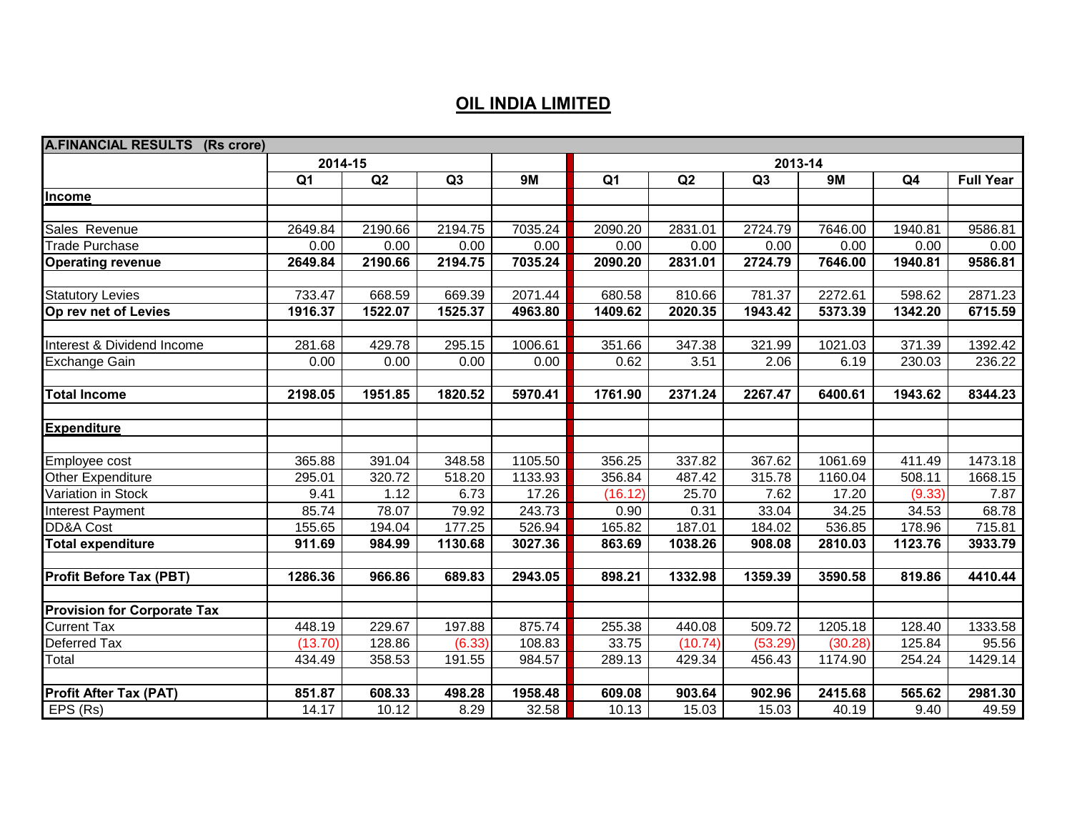## **OIL INDIA LIMITED**

| <b>A.FINANCIAL RESULTS (Rs crore)</b> |                |         |                |         |                |         |         |         |                |                  |  |
|---------------------------------------|----------------|---------|----------------|---------|----------------|---------|---------|---------|----------------|------------------|--|
|                                       | 2014-15        |         |                |         |                | 2013-14 |         |         |                |                  |  |
|                                       | Q <sub>1</sub> | Q2      | Q <sub>3</sub> | 9M      | Q <sub>1</sub> | Q2      | Q3      | 9M      | Q <sub>4</sub> | <b>Full Year</b> |  |
| Income                                |                |         |                |         |                |         |         |         |                |                  |  |
|                                       |                |         |                |         |                |         |         |         |                |                  |  |
| Sales Revenue                         | 2649.84        | 2190.66 | 2194.75        | 7035.24 | 2090.20        | 2831.01 | 2724.79 | 7646.00 | 1940.81        | 9586.81          |  |
| <b>Trade Purchase</b>                 | 0.00           | 0.00    | 0.00           | 0.00    | 0.00           | 0.00    | 0.00    | 0.00    | 0.00           | 0.00             |  |
| <b>Operating revenue</b>              | 2649.84        | 2190.66 | 2194.75        | 7035.24 | 2090.20        | 2831.01 | 2724.79 | 7646.00 | 1940.81        | 9586.81          |  |
|                                       |                |         |                |         |                |         |         |         |                |                  |  |
| <b>Statutory Levies</b>               | 733.47         | 668.59  | 669.39         | 2071.44 | 680.58         | 810.66  | 781.37  | 2272.61 | 598.62         | 2871.23          |  |
| Op rev net of Levies                  | 1916.37        | 1522.07 | 1525.37        | 4963.80 | 1409.62        | 2020.35 | 1943.42 | 5373.39 | 1342.20        | 6715.59          |  |
|                                       |                |         |                |         |                |         |         |         |                |                  |  |
| Interest & Dividend Income            | 281.68         | 429.78  | 295.15         | 1006.61 | 351.66         | 347.38  | 321.99  | 1021.03 | 371.39         | 1392.42          |  |
| <b>Exchange Gain</b>                  | 0.00           | 0.00    | 0.00           | 0.00    | 0.62           | 3.51    | 2.06    | 6.19    | 230.03         | 236.22           |  |
|                                       |                |         |                |         |                |         |         |         |                |                  |  |
| <b>Total Income</b>                   | 2198.05        | 1951.85 | 1820.52        | 5970.41 | 1761.90        | 2371.24 | 2267.47 | 6400.61 | 1943.62        | 8344.23          |  |
|                                       |                |         |                |         |                |         |         |         |                |                  |  |
| <b>Expenditure</b>                    |                |         |                |         |                |         |         |         |                |                  |  |
|                                       |                |         |                |         |                |         |         |         |                |                  |  |
| Employee cost                         | 365.88         | 391.04  | 348.58         | 1105.50 | 356.25         | 337.82  | 367.62  | 1061.69 | 411.49         | 1473.18          |  |
| Other Expenditure                     | 295.01         | 320.72  | 518.20         | 1133.93 | 356.84         | 487.42  | 315.78  | 1160.04 | 508.11         | 1668.15          |  |
| Variation in Stock                    | 9.41           | 1.12    | 6.73           | 17.26   | (16.12)        | 25.70   | 7.62    | 17.20   | (9.33)         | 7.87             |  |
| Interest Payment                      | 85.74          | 78.07   | 79.92          | 243.73  | 0.90           | 0.31    | 33.04   | 34.25   | 34.53          | 68.78            |  |
| DD&A Cost                             | 155.65         | 194.04  | 177.25         | 526.94  | 165.82         | 187.01  | 184.02  | 536.85  | 178.96         | 715.81           |  |
| <b>Total expenditure</b>              | 911.69         | 984.99  | 1130.68        | 3027.36 | 863.69         | 1038.26 | 908.08  | 2810.03 | 1123.76        | 3933.79          |  |
|                                       |                |         |                |         |                |         |         |         |                |                  |  |
| <b>Profit Before Tax (PBT)</b>        | 1286.36        | 966.86  | 689.83         | 2943.05 | 898.21         | 1332.98 | 1359.39 | 3590.58 | 819.86         | 4410.44          |  |
|                                       |                |         |                |         |                |         |         |         |                |                  |  |
| <b>Provision for Corporate Tax</b>    |                |         |                |         |                |         |         |         |                |                  |  |
| <b>Current Tax</b>                    | 448.19         | 229.67  | 197.88         | 875.74  | 255.38         | 440.08  | 509.72  | 1205.18 | 128.40         | 1333.58          |  |
| Deferred Tax                          | (13.70)        | 128.86  | (6.33)         | 108.83  | 33.75          | (10.74) | (53.29) | (30.28) | 125.84         | 95.56            |  |
| Total                                 | 434.49         | 358.53  | 191.55         | 984.57  | 289.13         | 429.34  | 456.43  | 1174.90 | 254.24         | 1429.14          |  |
|                                       |                |         |                |         |                |         |         |         |                |                  |  |
| <b>Profit After Tax (PAT)</b>         | 851.87         | 608.33  | 498.28         | 1958.48 | 609.08         | 903.64  | 902.96  | 2415.68 | 565.62         | 2981.30          |  |
| EPS (Rs)                              | 14.17          | 10.12   | 8.29           | 32.58   | 10.13          | 15.03   | 15.03   | 40.19   | 9.40           | 49.59            |  |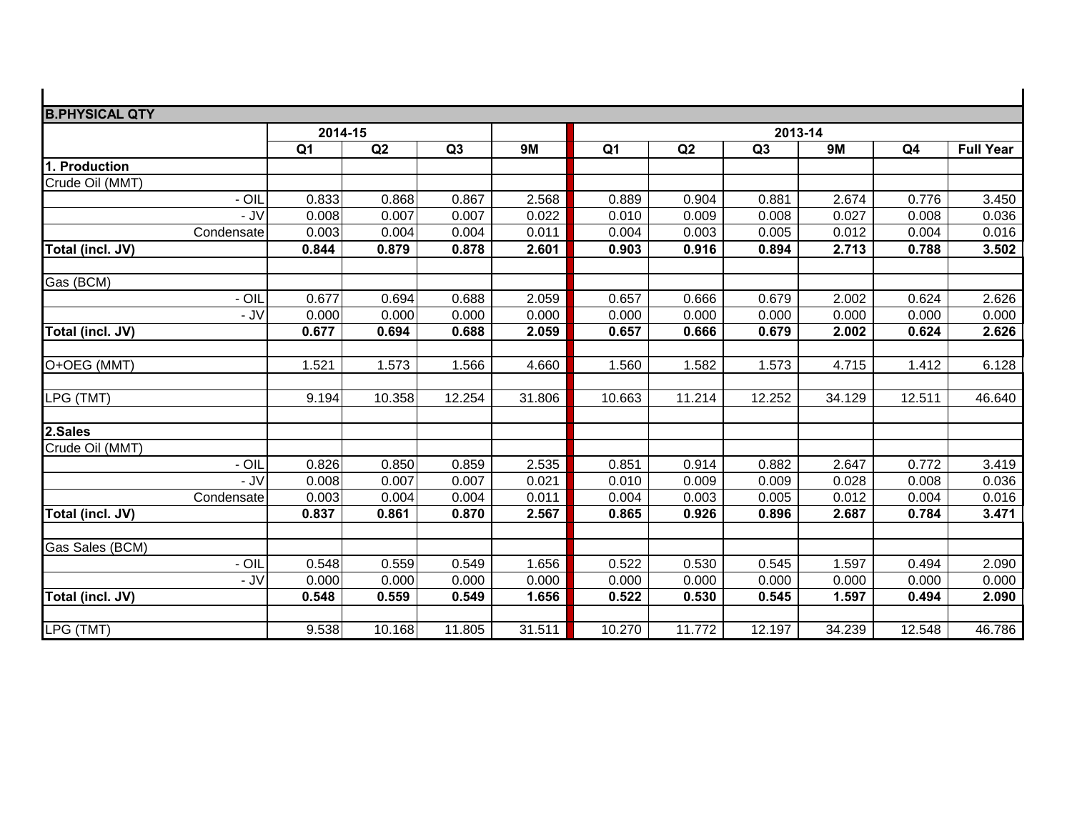| <b>B.PHYSICAL QTY</b> |            |                |        |        |           |                |        |                |           |                |                  |  |
|-----------------------|------------|----------------|--------|--------|-----------|----------------|--------|----------------|-----------|----------------|------------------|--|
|                       |            | 2014-15        |        |        |           | 2013-14        |        |                |           |                |                  |  |
|                       |            | Q <sub>1</sub> | Q2     | Q3     | <b>9M</b> | Q <sub>1</sub> | Q2     | Q <sub>3</sub> | <b>9M</b> | Q <sub>4</sub> | <b>Full Year</b> |  |
| 1. Production         |            |                |        |        |           |                |        |                |           |                |                  |  |
| Crude Oil (MMT)       |            |                |        |        |           |                |        |                |           |                |                  |  |
|                       | $-$ OIL    | 0.833          | 0.868  | 0.867  | 2.568     | 0.889          | 0.904  | 0.881          | 2.674     | 0.776          | 3.450            |  |
|                       | - JV       | 0.008          | 0.007  | 0.007  | 0.022     | 0.010          | 0.009  | 0.008          | 0.027     | 0.008          | 0.036            |  |
|                       | Condensate | 0.003          | 0.004  | 0.004  | 0.011     | 0.004          | 0.003  | 0.005          | 0.012     | 0.004          | 0.016            |  |
| Total (incl. JV)      |            | 0.844          | 0.879  | 0.878  | 2.601     | 0.903          | 0.916  | 0.894          | 2.713     | 0.788          | 3.502            |  |
|                       |            |                |        |        |           |                |        |                |           |                |                  |  |
| Gas (BCM)             |            |                |        |        |           |                |        |                |           |                |                  |  |
|                       | - OIL      | 0.677          | 0.694  | 0.688  | 2.059     | 0.657          | 0.666  | 0.679          | 2.002     | 0.624          | 2.626            |  |
|                       | - JV       | 0.000          | 0.000  | 0.000  | 0.000     | 0.000          | 0.000  | 0.000          | 0.000     | 0.000          | 0.000            |  |
| Total (incl. JV)      |            | 0.677          | 0.694  | 0.688  | 2.059     | 0.657          | 0.666  | 0.679          | 2.002     | 0.624          | 2.626            |  |
|                       |            |                |        |        |           |                |        |                |           |                |                  |  |
| O+OEG (MMT)           |            | 1.521          | 1.573  | 1.566  | 4.660     | 1.560          | 1.582  | 1.573          | 4.715     | 1.412          | 6.128            |  |
|                       |            |                |        |        |           |                |        |                |           |                |                  |  |
| LPG (TMT)             |            | 9.194          | 10.358 | 12.254 | 31.806    | 10.663         | 11.214 | 12.252         | 34.129    | 12.511         | 46.640           |  |
| 2.Sales               |            |                |        |        |           |                |        |                |           |                |                  |  |
| Crude Oil (MMT)       |            |                |        |        |           |                |        |                |           |                |                  |  |
|                       | $-$ OIL    | 0.826          | 0.850  | 0.859  | 2.535     | 0.851          | 0.914  | 0.882          | 2.647     | 0.772          | 3.419            |  |
|                       | - JV       | 0.008          | 0.007  | 0.007  | 0.021     | 0.010          | 0.009  | 0.009          | 0.028     | 0.008          | 0.036            |  |
|                       | Condensate | 0.003          | 0.004  | 0.004  | 0.011     | 0.004          | 0.003  | 0.005          | 0.012     | 0.004          | 0.016            |  |
| Total (incl. JV)      |            | 0.837          | 0.861  | 0.870  | 2.567     | 0.865          | 0.926  | 0.896          | 2.687     | 0.784          | 3.471            |  |
|                       |            |                |        |        |           |                |        |                |           |                |                  |  |
| Gas Sales (BCM)       |            |                |        |        |           |                |        |                |           |                |                  |  |
|                       | - OIL      | 0.548          | 0.559  | 0.549  | 1.656     | 0.522          | 0.530  | 0.545          | 1.597     | 0.494          | 2.090            |  |
|                       | $-JV$      | 0.000          | 0.000  | 0.000  | 0.000     | 0.000          | 0.000  | 0.000          | 0.000     | 0.000          | 0.000            |  |
| Total (incl. JV)      |            | 0.548          | 0.559  | 0.549  | 1.656     | 0.522          | 0.530  | 0.545          | 1.597     | 0.494          | 2.090            |  |
|                       |            |                |        |        |           |                |        |                |           |                |                  |  |
| LPG (TMT)             |            | 9.538          | 10.168 | 11.805 | 31.511    | 10.270         | 11.772 | 12.197         | 34.239    | 12.548         | 46.786           |  |

 $\blacksquare$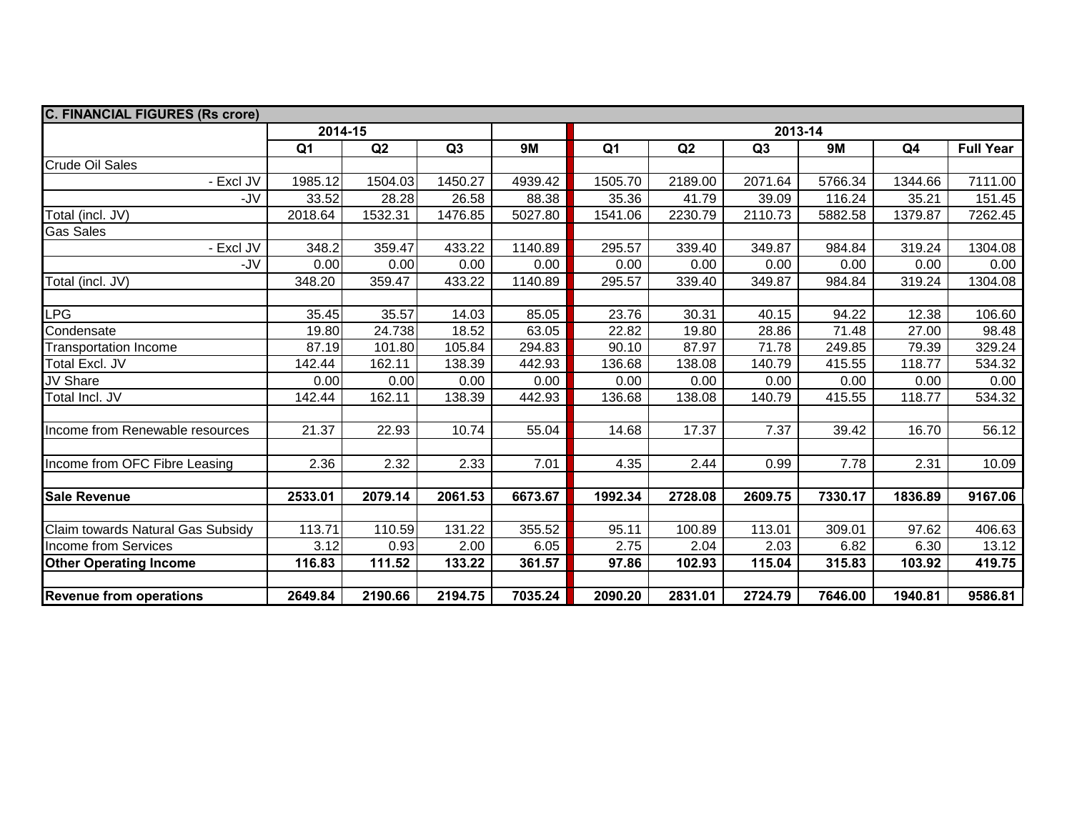| <b>C. FINANCIAL FIGURES (Rs crore)</b> |                |         |                |           |                |         |         |           |                |                  |  |
|----------------------------------------|----------------|---------|----------------|-----------|----------------|---------|---------|-----------|----------------|------------------|--|
|                                        | 2014-15        |         |                |           | 2013-14        |         |         |           |                |                  |  |
|                                        | Q <sub>1</sub> | Q2      | Q <sub>3</sub> | <b>9M</b> | Q <sub>1</sub> | Q2      | Q3      | <b>9M</b> | Q <sub>4</sub> | <b>Full Year</b> |  |
| <b>Crude Oil Sales</b>                 |                |         |                |           |                |         |         |           |                |                  |  |
| - Excl JV                              | 1985.12        | 1504.03 | 1450.27        | 4939.42   | 1505.70        | 2189.00 | 2071.64 | 5766.34   | 1344.66        | 7111.00          |  |
| -JV                                    | 33.52          | 28.28   | 26.58          | 88.38     | 35.36          | 41.79   | 39.09   | 116.24    | 35.21          | 151.45           |  |
| Total (incl. JV)                       | 2018.64        | 1532.31 | 1476.85        | 5027.80   | 1541.06        | 2230.79 | 2110.73 | 5882.58   | 1379.87        | 7262.45          |  |
| <b>Gas Sales</b>                       |                |         |                |           |                |         |         |           |                |                  |  |
| - Excl JV                              | 348.2          | 359.47  | 433.22         | 1140.89   | 295.57         | 339.40  | 349.87  | 984.84    | 319.24         | 1304.08          |  |
| -JV                                    | 0.00           | 0.00    | 0.00           | 0.00      | 0.00           | 0.00    | 0.00    | 0.00      | 0.00           | 0.00             |  |
| Total (incl. JV)                       | 348.20         | 359.47  | 433.22         | 1140.89   | 295.57         | 339.40  | 349.87  | 984.84    | 319.24         | 1304.08          |  |
|                                        |                |         |                |           |                |         |         |           |                |                  |  |
| LPG                                    | 35.45          | 35.57   | 14.03          | 85.05     | 23.76          | 30.31   | 40.15   | 94.22     | 12.38          | 106.60           |  |
| Condensate                             | 19.80          | 24.738  | 18.52          | 63.05     | 22.82          | 19.80   | 28.86   | 71.48     | 27.00          | 98.48            |  |
| <b>Transportation Income</b>           | 87.19          | 101.80  | 105.84         | 294.83    | 90.10          | 87.97   | 71.78   | 249.85    | 79.39          | 329.24           |  |
| Total Excl. JV                         | 142.44         | 162.11  | 138.39         | 442.93    | 136.68         | 138.08  | 140.79  | 415.55    | 118.77         | 534.32           |  |
| JV Share                               | 0.00           | 0.00    | 0.00           | 0.00      | 0.00           | 0.00    | 0.00    | 0.00      | 0.00           | 0.00             |  |
| Total Incl. JV                         | 142.44         | 162.11  | 138.39         | 442.93    | 136.68         | 138.08  | 140.79  | 415.55    | 118.77         | 534.32           |  |
|                                        |                |         |                |           |                |         |         |           |                |                  |  |
| Income from Renewable resources        | 21.37          | 22.93   | 10.74          | 55.04     | 14.68          | 17.37   | 7.37    | 39.42     | 16.70          | 56.12            |  |
|                                        |                |         |                |           |                |         |         |           |                |                  |  |
| Income from OFC Fibre Leasing          | 2.36           | 2.32    | 2.33           | 7.01      | 4.35           | 2.44    | 0.99    | 7.78      | 2.31           | 10.09            |  |
|                                        |                |         |                |           |                |         |         |           |                |                  |  |
| <b>Sale Revenue</b>                    | 2533.01        | 2079.14 | 2061.53        | 6673.67   | 1992.34        | 2728.08 | 2609.75 | 7330.17   | 1836.89        | 9167.06          |  |
|                                        |                |         |                |           |                |         |         |           |                |                  |  |
| Claim towards Natural Gas Subsidy      | 113.71         | 110.59  | 131.22         | 355.52    | 95.11          | 100.89  | 113.01  | 309.01    | 97.62          | 406.63           |  |
| Income from Services                   | 3.12           | 0.93    | 2.00           | 6.05      | 2.75           | 2.04    | 2.03    | 6.82      | 6.30           | 13.12            |  |
| <b>Other Operating Income</b>          | 116.83         | 111.52  | 133.22         | 361.57    | 97.86          | 102.93  | 115.04  | 315.83    | 103.92         | 419.75           |  |
|                                        |                |         |                |           |                |         |         |           |                |                  |  |
| <b>Revenue from operations</b>         | 2649.84        | 2190.66 | 2194.75        | 7035.24   | 2090.20        | 2831.01 | 2724.79 | 7646.00   | 1940.81        | 9586.81          |  |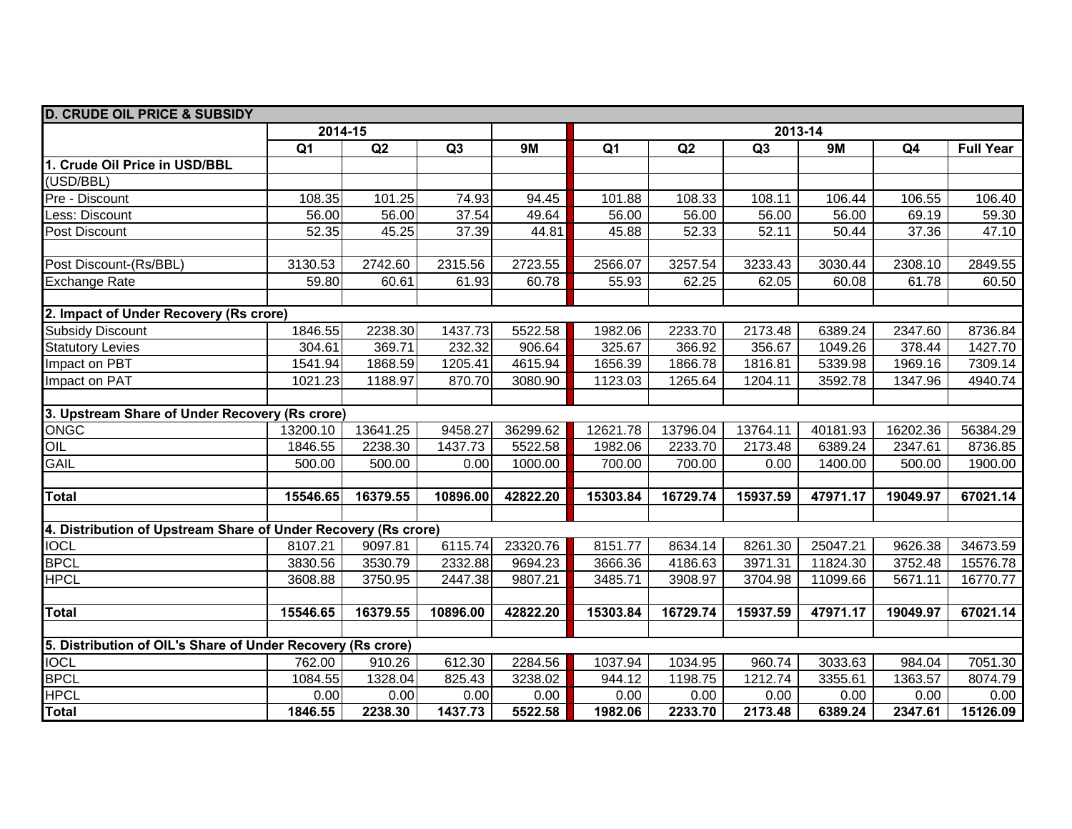| <b>D. CRUDE OIL PRICE &amp; SUBSIDY</b>                        |                |          |                |           |                |          |          |           |                |                  |  |
|----------------------------------------------------------------|----------------|----------|----------------|-----------|----------------|----------|----------|-----------|----------------|------------------|--|
|                                                                | 2014-15        |          |                |           | 2013-14        |          |          |           |                |                  |  |
|                                                                | Q <sub>1</sub> | Q2       | Q <sub>3</sub> | <b>9M</b> | Q <sub>1</sub> | Q2       | Q3       | <b>9M</b> | Q <sub>4</sub> | <b>Full Year</b> |  |
| 1. Crude Oil Price in USD/BBL                                  |                |          |                |           |                |          |          |           |                |                  |  |
| (USD/BBL)                                                      |                |          |                |           |                |          |          |           |                |                  |  |
| Pre - Discount                                                 | 108.35         | 101.25   | 74.93          | 94.45     | 101.88         | 108.33   | 108.11   | 106.44    | 106.55         | 106.40           |  |
| ess: Discount                                                  | 56.00          | 56.00    | 37.54          | 49.64     | 56.00          | 56.00    | 56.00    | 56.00     | 69.19          | 59.30            |  |
| Post Discount                                                  | 52.35          | 45.25    | 37.39          | 44.81     | 45.88          | 52.33    | 52.11    | 50.44     | 37.36          | 47.10            |  |
|                                                                |                |          |                |           |                |          |          |           |                |                  |  |
| Post Discount-(Rs/BBL)                                         | 3130.53        | 2742.60  | 2315.56        | 2723.55   | 2566.07        | 3257.54  | 3233.43  | 3030.44   | 2308.10        | 2849.55          |  |
| <b>Exchange Rate</b>                                           | 59.80          | 60.61    | 61.93          | 60.78     | 55.93          | 62.25    | 62.05    | 60.08     | 61.78          | 60.50            |  |
|                                                                |                |          |                |           |                |          |          |           |                |                  |  |
| 2. Impact of Under Recovery (Rs crore)                         |                |          |                |           |                |          |          |           |                |                  |  |
| <b>Subsidy Discount</b>                                        | 1846.55        | 2238.30  | 1437.73        | 5522.58   | 1982.06        | 2233.70  | 2173.48  | 6389.24   | 2347.60        | 8736.84          |  |
| <b>Statutory Levies</b>                                        | 304.61         | 369.71   | 232.32         | 906.64    | 325.67         | 366.92   | 356.67   | 1049.26   | 378.44         | 1427.70          |  |
| Impact on PBT                                                  | 1541.94        | 1868.59  | 1205.41        | 4615.94   | 1656.39        | 1866.78  | 1816.81  | 5339.98   | 1969.16        | 7309.14          |  |
| Impact on PAT                                                  | 1021.23        | 1188.97  | 870.70         | 3080.90   | 1123.03        | 1265.64  | 1204.11  | 3592.78   | 1347.96        | 4940.74          |  |
|                                                                |                |          |                |           |                |          |          |           |                |                  |  |
| 3. Upstream Share of Under Recovery (Rs crore)                 |                |          |                |           |                |          |          |           |                |                  |  |
| <b>ONGC</b>                                                    | 13200.10       | 13641.25 | 9458.27        | 36299.62  | 12621.78       | 13796.04 | 13764.11 | 40181.93  | 16202.36       | 56384.29         |  |
| OIL                                                            | 1846.55        | 2238.30  | 1437.73        | 5522.58   | 1982.06        | 2233.70  | 2173.48  | 6389.24   | 2347.61        | 8736.85          |  |
| <b>GAIL</b>                                                    | 500.00         | 500.00   | 0.00           | 1000.00   | 700.00         | 700.00   | 0.00     | 1400.00   | 500.00         | 1900.00          |  |
|                                                                |                |          |                |           |                |          |          |           |                |                  |  |
| Total                                                          | 15546.65       | 16379.55 | 10896.00       | 42822.20  | 15303.84       | 16729.74 | 15937.59 | 47971.17  | 19049.97       | 67021.14         |  |
|                                                                |                |          |                |           |                |          |          |           |                |                  |  |
| 4. Distribution of Upstream Share of Under Recovery (Rs crore) |                |          |                |           |                |          |          |           |                |                  |  |
| <b>IOCL</b>                                                    | 8107.21        | 9097.81  | 6115.74        | 23320.76  | 8151.77        | 8634.14  | 8261.30  | 25047.21  | 9626.38        | 34673.59         |  |
| <b>BPCL</b>                                                    | 3830.56        | 3530.79  | 2332.88        | 9694.23   | 3666.36        | 4186.63  | 3971.31  | 11824.30  | 3752.48        | 15576.78         |  |
| <b>HPCL</b>                                                    | 3608.88        | 3750.95  | 2447.38        | 9807.21   | 3485.71        | 3908.97  | 3704.98  | 11099.66  | 5671.11        | 16770.77         |  |
|                                                                |                |          |                |           |                |          |          |           |                |                  |  |
| <b>Total</b>                                                   | 15546.65       | 16379.55 | 10896.00       | 42822.20  | 15303.84       | 16729.74 | 15937.59 | 47971.17  | 19049.97       | 67021.14         |  |
|                                                                |                |          |                |           |                |          |          |           |                |                  |  |
| 5. Distribution of OIL's Share of Under Recovery (Rs crore)    |                |          |                |           |                |          |          |           |                |                  |  |
| <b>IOCL</b>                                                    | 762.00         | 910.26   | 612.30         | 2284.56   | 1037.94        | 1034.95  | 960.74   | 3033.63   | 984.04         | 7051.30          |  |
| <b>BPCL</b>                                                    | 1084.55        | 1328.04  | 825.43         | 3238.02   | 944.12         | 1198.75  | 1212.74  | 3355.61   | 1363.57        | 8074.79          |  |
| <b>HPCL</b>                                                    | 0.00           | 0.00     | 0.00           | 0.00      | 0.00           | 0.00     | 0.00     | 0.00      | 0.00           | 0.00             |  |
| Total                                                          | 1846.55        | 2238.30  | 1437.73        | 5522.58   | 1982.06        | 2233.70  | 2173.48  | 6389.24   | 2347.61        | 15126.09         |  |